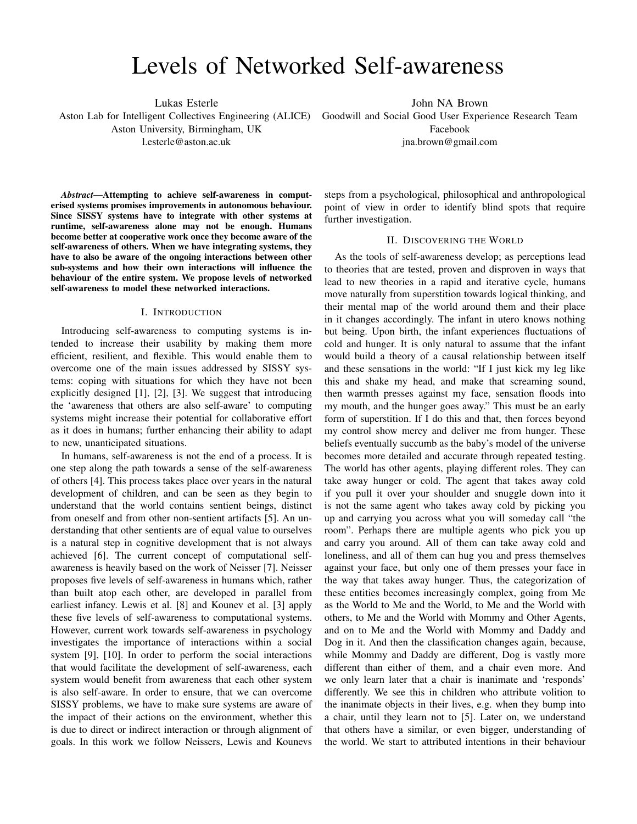# Levels of Networked Self-awareness

Lukas Esterle Aston Lab for Intelligent Collectives Engineering (ALICE) Goodwill and Social Good User Experience Research Team Aston University, Birmingham, UK

l.esterle@aston.ac.uk

John NA Brown Facebook

jna.brown@gmail.com

*Abstract*—Attempting to achieve self-awareness in computerised systems promises improvements in autonomous behaviour. Since SISSY systems have to integrate with other systems at runtime, self-awareness alone may not be enough. Humans become better at cooperative work once they become aware of the self-awareness of others. When we have integrating systems, they have to also be aware of the ongoing interactions between other sub-systems and how their own interactions will influence the behaviour of the entire system. We propose levels of networked self-awareness to model these networked interactions.

### I. INTRODUCTION

Introducing self-awareness to computing systems is intended to increase their usability by making them more efficient, resilient, and flexible. This would enable them to overcome one of the main issues addressed by SISSY systems: coping with situations for which they have not been explicitly designed [1], [2], [3]. We suggest that introducing the 'awareness that others are also self-aware' to computing systems might increase their potential for collaborative effort as it does in humans; further enhancing their ability to adapt to new, unanticipated situations.

In humans, self-awareness is not the end of a process. It is one step along the path towards a sense of the self-awareness of others [4]. This process takes place over years in the natural development of children, and can be seen as they begin to understand that the world contains sentient beings, distinct from oneself and from other non-sentient artifacts [5]. An understanding that other sentients are of equal value to ourselves is a natural step in cognitive development that is not always achieved [6]. The current concept of computational selfawareness is heavily based on the work of Neisser [7]. Neisser proposes five levels of self-awareness in humans which, rather than built atop each other, are developed in parallel from earliest infancy. Lewis et al. [8] and Kounev et al. [3] apply these five levels of self-awareness to computational systems. However, current work towards self-awareness in psychology investigates the importance of interactions within a social system [9], [10]. In order to perform the social interactions that would facilitate the development of self-awareness, each system would benefit from awareness that each other system is also self-aware. In order to ensure, that we can overcome SISSY problems, we have to make sure systems are aware of the impact of their actions on the environment, whether this is due to direct or indirect interaction or through alignment of goals. In this work we follow Neissers, Lewis and Kounevs

steps from a psychological, philosophical and anthropological point of view in order to identify blind spots that require further investigation.

## II. DISCOVERING THE WORLD

As the tools of self-awareness develop; as perceptions lead to theories that are tested, proven and disproven in ways that lead to new theories in a rapid and iterative cycle, humans move naturally from superstition towards logical thinking, and their mental map of the world around them and their place in it changes accordingly. The infant in utero knows nothing but being. Upon birth, the infant experiences fluctuations of cold and hunger. It is only natural to assume that the infant would build a theory of a causal relationship between itself and these sensations in the world: "If I just kick my leg like this and shake my head, and make that screaming sound, then warmth presses against my face, sensation floods into my mouth, and the hunger goes away." This must be an early form of superstition. If I do this and that, then forces beyond my control show mercy and deliver me from hunger. These beliefs eventually succumb as the baby's model of the universe becomes more detailed and accurate through repeated testing. The world has other agents, playing different roles. They can take away hunger or cold. The agent that takes away cold if you pull it over your shoulder and snuggle down into it is not the same agent who takes away cold by picking you up and carrying you across what you will someday call "the room". Perhaps there are multiple agents who pick you up and carry you around. All of them can take away cold and loneliness, and all of them can hug you and press themselves against your face, but only one of them presses your face in the way that takes away hunger. Thus, the categorization of these entities becomes increasingly complex, going from Me as the World to Me and the World, to Me and the World with others, to Me and the World with Mommy and Other Agents, and on to Me and the World with Mommy and Daddy and Dog in it. And then the classification changes again, because, while Mommy and Daddy are different, Dog is vastly more different than either of them, and a chair even more. And we only learn later that a chair is inanimate and 'responds' differently. We see this in children who attribute volition to the inanimate objects in their lives, e.g. when they bump into a chair, until they learn not to [5]. Later on, we understand that others have a similar, or even bigger, understanding of the world. We start to attributed intentions in their behaviour